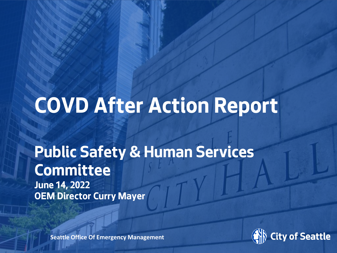# **COVD After Action Report**

### **Public Safety & Human Services Committee**

**June 14, 2022 OEM Director Curry Mayer**

Date

**Aug 2021 Seattle Office Of Emergency Management** 

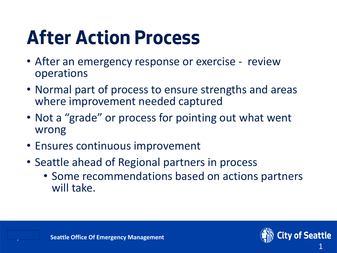# **After Action Process**

- After an emergency response or exercise review operations
- Normal part of process to ensure strengths and areas where improvement needed captured
- Not a "grade" or process for pointing out what went wrong
- Ensures continuous improvement
- Seattle ahead of Regional partners in process
	- Some recommendations based on actions partners will take.

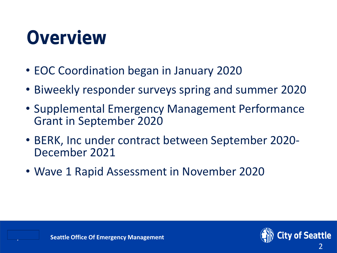# **Overview**

- EOC Coordination began in January 2020
- Biweekly responder surveys spring and summer 2020
- Supplemental Emergency Management Performance Grant in September 2020
- BERK, Inc under contract between September 2020- December 2021
- Wave 1 Rapid Assessment in November 2020

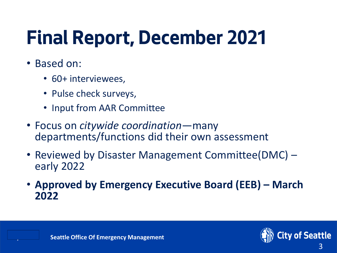# **Final Report, December 2021**

- Based on:
	- 60+ interviewees,
	- Pulse check surveys,
	- Input from AAR Committee
- Focus on *citywide coordination*—many departments/functions did their own assessment
- Reviewed by Disaster Management Committee(DMC) early 2022
- **Approved by Emergency Executive Board (EEB) – March 2022**

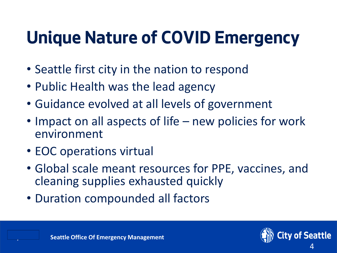### **Unique Nature of COVID Emergency**

- Seattle first city in the nation to respond
- Public Health was the lead agency
- Guidance evolved at all levels of government
- Impact on all aspects of life new policies for work environment
- EOC operations virtual
- Global scale meant resources for PPE, vaccines, and cleaning supplies exhausted quickly
- Duration compounded all factors

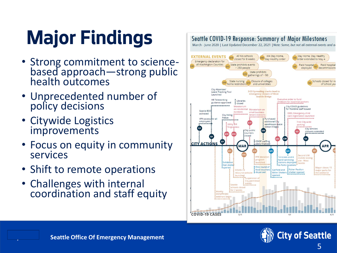# **Major Findings**

- Strong commitment to science based approach —strong public health outcomes
- Unprecedented number of policy decisions
- Citywide Logistics improvements
- Focus on equity in community services
- Shift to remote operations
- Challenges with internal coordination and staff equity

#### Seattle COVID-19 Response: Summary of Major Milestones

March - June 2020 | Last Updated December 22, 2021 | Note: Some, but not all external events and a



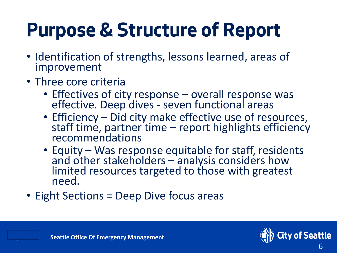# **Purpose & Structure of Report**

- Identification of strengths, lessons learned, areas of improvement
- Three core criteria
	- Effectives of city response overall response was effective. Deep dives - seven functional areas
	- Efficiency Did city make effective use of resources, staff time, partner time – report highlights efficiency recommendations
	- Equity Was response equitable for staff, residents and other stakeholders – analysis considers how limited resources targeted to those with greatest need.
- Eight Sections = Deep Dive focus areas

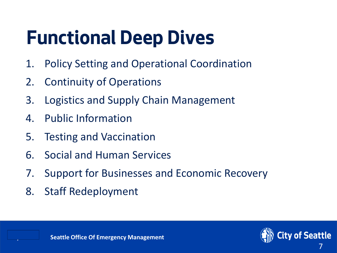# **Functional Deep Dives**

- 1. Policy Setting and Operational Coordination
- 2. Continuity of Operations
- 3. Logistics and Supply Chain Management
- 4. Public Information
- 5. Testing and Vaccination
- 6. Social and Human Services
- 7. Support for Businesses and Economic Recovery
- 8. Staff Redeployment

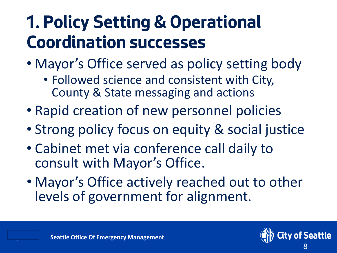### **1. Policy Setting & Operational Coordination successes**

- Mayor's Office served as policy setting body
	- Followed science and consistent with City, County & State messaging and actions
- Rapid creation of new personnel policies
- Strong policy focus on equity & social justice
- Cabinet met via conference call daily to consult with Mayor's Office.
- Mayor's Office actively reached out to other levels of government for alignment.

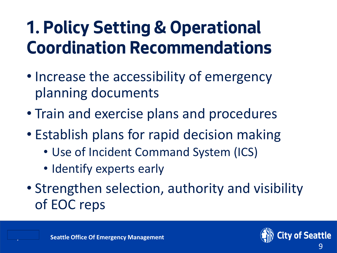### **1. Policy Setting & Operational Coordination Recommendations**

- Increase the accessibility of emergency planning documents
- Train and exercise plans and procedures
- Establish plans for rapid decision making
	- Use of Incident Command System (ICS)
	- Identify experts early
- Strengthen selection, authority and visibility of EOC reps

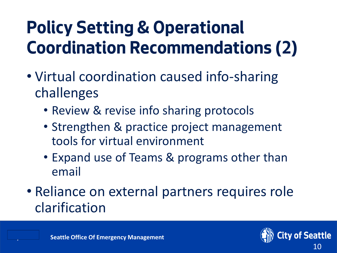### **Policy Setting & Operational Coordination Recommendations (2)**

- Virtual coordination caused info-sharing challenges
	- Review & revise info sharing protocols
	- Strengthen & practice project management tools for virtual environment
	- Expand use of Teams & programs other than email
- Reliance on external partners requires role clarification

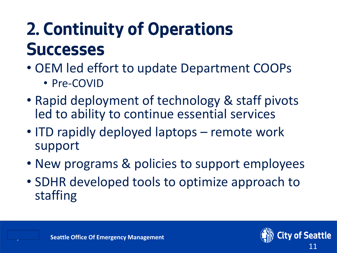### **2. Continuity of Operations Successes**

- OEM led effort to update Department COOPs
	- Pre-COVID
- Rapid deployment of technology & staff pivots led to ability to continue essential services
- ITD rapidly deployed laptops remote work support
- New programs & policies to support employees
- SDHR developed tools to optimize approach to staffing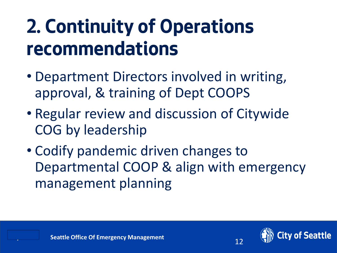# **2. Continuity of Operations recommendations**

- Department Directors involved in writing, approval, & training of Dept COOPS
- Regular review and discussion of Citywide COG by leadership
- Codify pandemic driven changes to Departmental COOP & align with emergency management planning

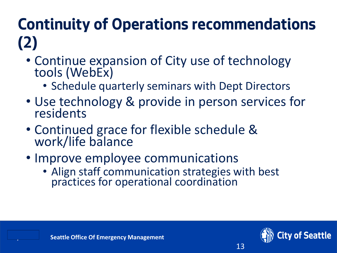#### **Continuity of Operations recommendations (2)**

- Continue expansion of City use of technology tools (WebEx)
	- Schedule quarterly seminars with Dept Directors
- Use technology & provide in person services for residents
- Continued grace for flexible schedule & work/life balance
- Improve employee communications
	- Align staff communication strategies with best practices for operational coordination

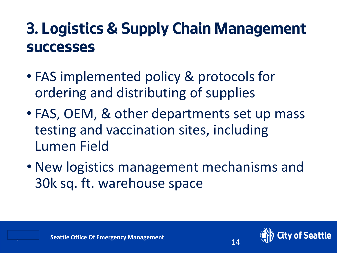#### **3. Logistics & Supply Chain Management successes**

- FAS implemented policy & protocols for ordering and distributing of supplies
- FAS, OEM, & other departments set up mass testing and vaccination sites, including Lumen Field
- New logistics management mechanisms and 30k sq. ft. warehouse space



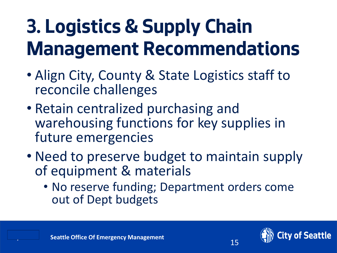# **3. Logistics & Supply Chain Management Recommendations**

- Align City, County & State Logistics staff to reconcile challenges
- Retain centralized purchasing and warehousing functions for key supplies in future emergencies
- Need to preserve budget to maintain supply of equipment & materials
	- No reserve funding; Department orders come out of Dept budgets

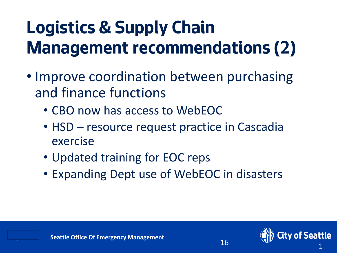### **Logistics & Supply Chain Management recommendations (2)**

- Improve coordination between purchasing and finance functions
	- CBO now has access to WebEOC
	- HSD resource request practice in Cascadia exercise
	- Updated training for EOC reps
	- Expanding Dept use of WebEOC in disasters

16

ity of Seattle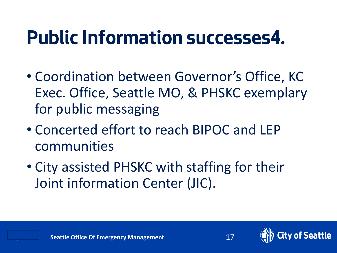### **Public Information successes4.**

- Coordination between Governor's Office, KC Exec. Office, Seattle MO, & PHSKC exemplary for public messaging
- Concerted effort to reach BIPOC and LEP communities
- City assisted PHSKC with staffing for their Joint information Center (JIC).

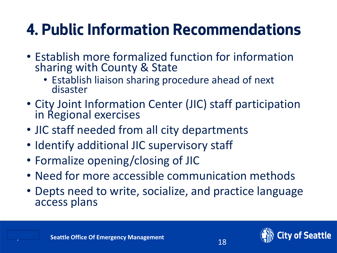### **4. Public Information Recommendations**

- Establish more formalized function for information sharing with County & State
	- Establish liaison sharing procedure ahead of next disaster
- City Joint Information Center (JIC) staff participation in Regional exercises
- JIC staff needed from all city departments
- Identify additional JIC supervisory staff
- Formalize opening/closing of JIC
- Need for more accessible communication methods
- Depts need to write, socialize, and practice language access plans

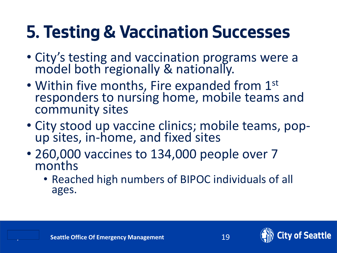### **5. Testing & Vaccination Successes**

- City's testing and vaccination programs were a model both regionally & nationally.
- Within five months, Fire expanded from 1st responders to nursing home, mobile teams and community sites
- City stood up vaccine clinics; mobile teams, popup sites, in-home, and fixed sites
- 260,000 vaccines to 134,000 people over 7 months
	- Reached high numbers of BIPOC individuals of all ages.



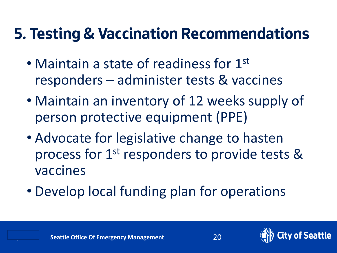#### **5. Testing & Vaccination Recommendations**

- Maintain a state of readiness for 1<sup>st</sup> responders – administer tests & vaccines
- Maintain an inventory of 12 weeks supply of person protective equipment (PPE)
- Advocate for legislative change to hasten process for 1<sup>st</sup> responders to provide tests & vaccines
- Develop local funding plan for operations



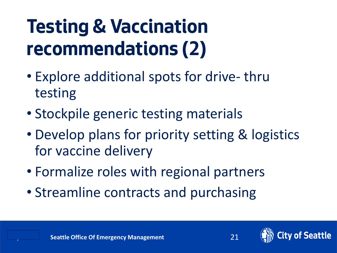# **Testing & Vaccination recommendations (2)**

- Explore additional spots for drive- thru testing
- Stockpile generic testing materials
- Develop plans for priority setting & logistics for vaccine delivery
- Formalize roles with regional partners
- Streamline contracts and purchasing

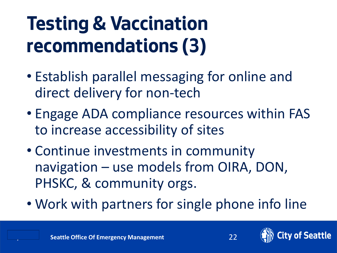# **Testing & Vaccination recommendations (3)**

- Establish parallel messaging for online and direct delivery for non-tech
- Engage ADA compliance resources within FAS to increase accessibility of sites
- Continue investments in community navigation – use models from OIRA, DON, PHSKC, & community orgs.
- Work with partners for single phone info line

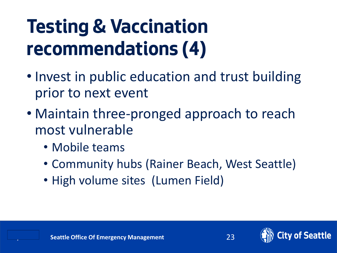# **Testing & Vaccination recommendations (4)**

- Invest in public education and trust building prior to next event
- Maintain three-pronged approach to reach most vulnerable
	- Mobile teams
	- Community hubs (Rainer Beach, West Seattle)
	- High volume sites (Lumen Field)

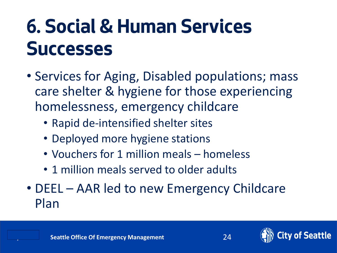# **6. Social & Human Services Successes**

- Services for Aging, Disabled populations; mass care shelter & hygiene for those experiencing homelessness, emergency childcare
	- Rapid de-intensified shelter sites
	- Deployed more hygiene stations
	- Vouchers for 1 million meals homeless
	- 1 million meals served to older adults
- DEEL AAR led to new Emergency Childcare Plan

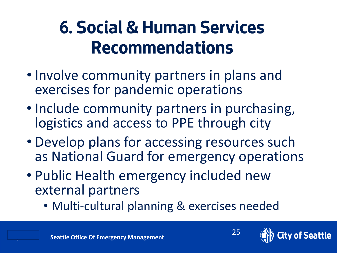### **6. Social & Human Services Recommendations**

- Involve community partners in plans and exercises for pandemic operations
- Include community partners in purchasing, logistics and access to PPE through city
- Develop plans for accessing resources such as National Guard for emergency operations
- Public Health emergency included new external partners
	- Multi-cultural planning & exercises needed

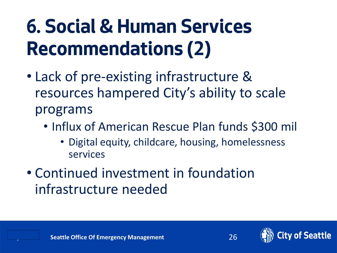# **6. Social & Human Services Recommendations (2)**

- Lack of pre-existing infrastructure & resources hampered City's ability to scale programs
	- Influx of American Rescue Plan funds \$300 mil
		- Digital equity, childcare, housing, homelessness services
- Continued investment in foundation infrastructure needed





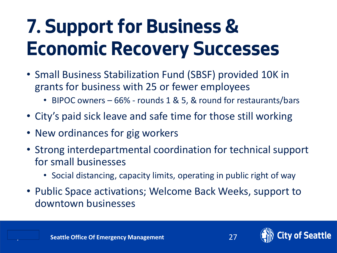# **7. Support for Business & Economic Recovery Successes**

- Small Business Stabilization Fund (SBSF) provided 10K in grants for business with 25 or fewer employees
	- BIPOC owners 66% rounds 1 & 5, & round for restaurants/bars
- City's paid sick leave and safe time for those still working
- New ordinances for gig workers
- Strong interdepartmental coordination for technical support for small businesses
	- Social distancing, capacity limits, operating in public right of way
- Public Space activations; Welcome Back Weeks, support to downtown businesses

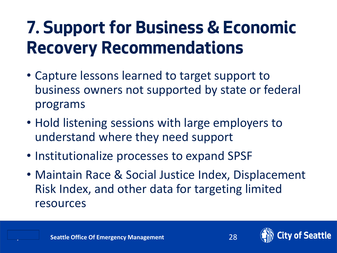### **7. Support for Business & Economic Recovery Recommendations**

- Capture lessons learned to target support to business owners not supported by state or federal programs
- Hold listening sessions with large employers to understand where they need support
- Institutionalize processes to expand SPSF
- Maintain Race & Social Justice Index, Displacement Risk Index, and other data for targeting limited resources

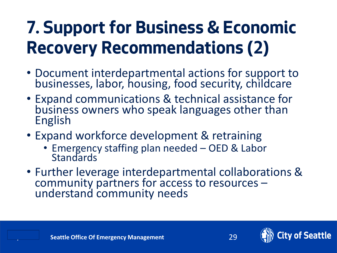### **7. Support for Business & Economic Recovery Recommendations (2)**

- Document interdepartmental actions for support to businesses, labor, housing, food security, childcare
- Expand communications & technical assistance for business owners who speak languages other than English
- Expand workforce development & retraining
	- Emergency staffing plan needed OED & Labor **Standards**
- Further leverage interdepartmental collaborations & community partners for access to resources – understand community needs



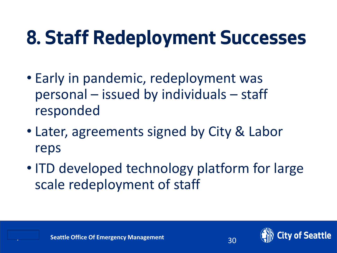# **8. Staff Redeployment Successes**

- Early in pandemic, redeployment was personal – issued by individuals – staff responded
- Later, agreements signed by City & Labor reps
- ITD developed technology platform for large scale redeployment of staff



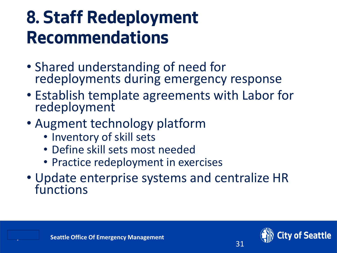### **8. Staff Redeployment Recommendations**

- Shared understanding of need for redeployments during emergency response
- Establish template agreements with Labor for redeployment
- Augment technology platform
	- Inventory of skill sets
	- Define skill sets most needed
	- Practice redeployment in exercises
- Update enterprise systems and centralize HR functions

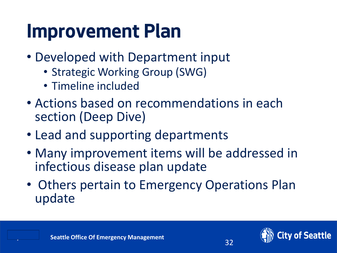### **Improvement Plan**

- Developed with Department input
	- Strategic Working Group (SWG)
	- Timeline included
- Actions based on recommendations in each section (Deep Dive)
- Lead and supporting departments
- Many improvement items will be addressed in infectious disease plan update
- Others pertain to Emergency Operations Plan update

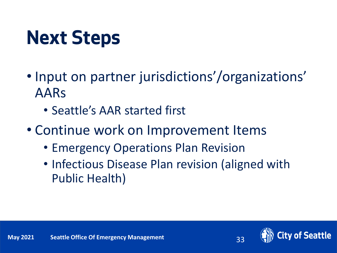# **Next Steps**

- Input on partner jurisdictions'/organizations' AARs
	- Seattle's AAR started first
- Continue work on Improvement Items
	- Emergency Operations Plan Revision
	- Infectious Disease Plan revision (aligned with Public Health)